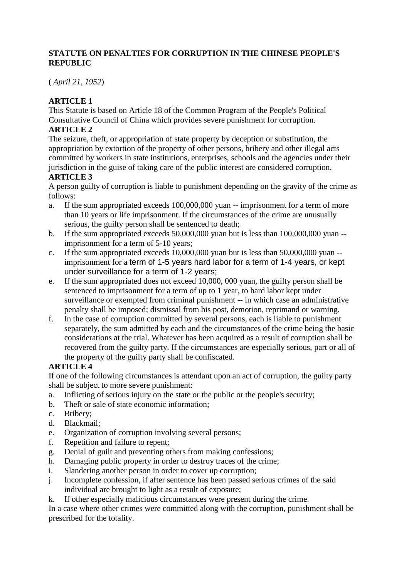### **STATUTE ON PENALTIES FOR CORRUPTION IN THE CHINESE PEOPLE'S REPUBLIC**

( *April 21, 1952*)

### **ARTICLE 1**

This Statute is based on Article 18 of the Common Program of the People's Political Consultative Council of China which provides severe punishment for corruption.

#### **ARTICLE 2**

The seizure, theft, or appropriation of state property by deception or substitution, the appropriation by extortion of the property of other persons, bribery and other illegal acts committed by workers in state institutions, enterprises, schools and the agencies under their jurisdiction in the guise of taking care of the public interest are considered corruption.

#### **ARTICLE 3**

A person guilty of corruption is liable to punishment depending on the gravity of the crime as follows:

- a. If the sum appropriated exceeds 100,000,000 yuan -- imprisonment for a term of more than 10 years or life imprisonment. If the circumstances of the crime are unusually serious, the guilty person shall be sentenced to death;
- b. If the sum appropriated exceeds 50,000,000 yuan but is less than 100,000,000 yuan imprisonment for a term of 5-10 years;
- c. If the sum appropriated exceeds 10,000,000 yuan but is less than 50,000,000 yuan -imprisonment for a term of 1-5 years hard labor for a term of 1-4 years, or kept under surveillance for a term of 1-2 years;
- e. If the sum appropriated does not exceed 10,000, 000 yuan, the guilty person shall be sentenced to imprisonment for a term of up to 1 year, to hard labor kept under surveillance or exempted from criminal punishment -- in which case an administrative penalty shall be imposed; dismissal from his post, demotion, reprimand or warning.
- f. In the case of corruption committed by several persons, each is liable to punishment separately, the sum admitted by each and the circumstances of the crime being the basic considerations at the trial. Whatever has been acquired as a result of corruption shall be recovered from the guilty party. If the circumstances are especially serious, part or all of the property of the guilty party shall be confiscated.

## **ARTICLE 4**

If one of the following circumstances is attendant upon an act of corruption, the guilty party shall be subject to more severe punishment:

- a. Inflicting of serious injury on the state or the public or the people's security;
- b. Theft or sale of state economic information;
- c. Bribery;
- d. Blackmail;
- e. Organization of corruption involving several persons;
- f. Repetition and failure to repent;
- g. Denial of guilt and preventing others from making confessions;
- h. Damaging public property in order to destroy traces of the crime;
- i. Slandering another person in order to cover up corruption;
- j. Incomplete confession, if after sentence has been passed serious crimes of the said individual are brought to light as a result of exposure;
- k. If other especially malicious circumstances were present during the crime.

In a case where other crimes were committed along with the corruption, punishment shall be prescribed for the totality.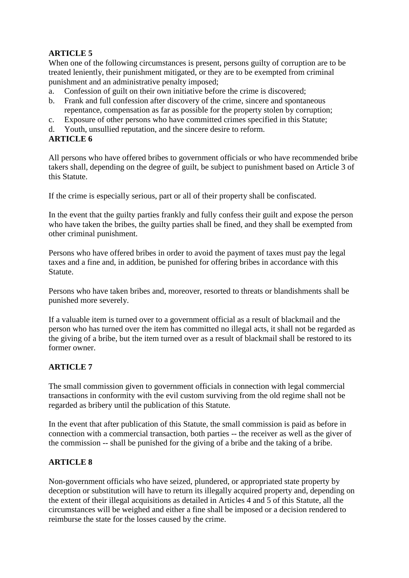# **ARTICLE 5**

When one of the following circumstances is present, persons guilty of corruption are to be treated leniently, their punishment mitigated, or they are to be exempted from criminal punishment and an administrative penalty imposed;

- a. Confession of guilt on their own initiative before the crime is discovered;
- b. Frank and full confession after discovery of the crime, sincere and spontaneous repentance, compensation as far as possible for the property stolen by corruption;
- c. Exposure of other persons who have committed crimes specified in this Statute;
- d. Youth, unsullied reputation, and the sincere desire to reform.

## **ARTICLE 6**

All persons who have offered bribes to government officials or who have recommended bribe takers shall, depending on the degree of guilt, be subject to punishment based on Article 3 of this Statute.

If the crime is especially serious, part or all of their property shall be confiscated.

In the event that the guilty parties frankly and fully confess their guilt and expose the person who have taken the bribes, the guilty parties shall be fined, and they shall be exempted from other criminal punishment.

Persons who have offered bribes in order to avoid the payment of taxes must pay the legal taxes and a fine and, in addition, be punished for offering bribes in accordance with this Statute.

Persons who have taken bribes and, moreover, resorted to threats or blandishments shall be punished more severely.

If a valuable item is turned over to a government official as a result of blackmail and the person who has turned over the item has committed no illegal acts, it shall not be regarded as the giving of a bribe, but the item turned over as a result of blackmail shall be restored to its former owner.

## **ARTICLE 7**

The small commission given to government officials in connection with legal commercial transactions in conformity with the evil custom surviving from the old regime shall not be regarded as bribery until the publication of this Statute.

In the event that after publication of this Statute, the small commission is paid as before in connection with a commercial transaction, both parties -- the receiver as well as the giver of the commission -- shall be punished for the giving of a bribe and the taking of a bribe.

#### **ARTICLE 8**

Non-government officials who have seized, plundered, or appropriated state property by deception or substitution will have to return its illegally acquired property and, depending on the extent of their illegal acquisitions as detailed in Articles 4 and 5 of this Statute, all the circumstances will be weighed and either a fine shall be imposed or a decision rendered to reimburse the state for the losses caused by the crime.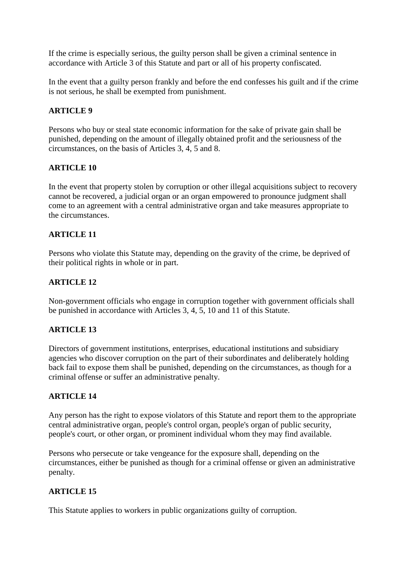If the crime is especially serious, the guilty person shall be given a criminal sentence in accordance with Article 3 of this Statute and part or all of his property confiscated.

In the event that a guilty person frankly and before the end confesses his guilt and if the crime is not serious, he shall be exempted from punishment.

#### **ARTICLE 9**

Persons who buy or steal state economic information for the sake of private gain shall be punished, depending on the amount of illegally obtained profit and the seriousness of the circumstances, on the basis of Articles 3, 4, 5 and 8.

#### **ARTICLE 10**

In the event that property stolen by corruption or other illegal acquisitions subject to recovery cannot be recovered, a judicial organ or an organ empowered to pronounce judgment shall come to an agreement with a central administrative organ and take measures appropriate to the circumstances.

#### **ARTICLE 11**

Persons who violate this Statute may, depending on the gravity of the crime, be deprived of their political rights in whole or in part.

### **ARTICLE 12**

Non-government officials who engage in corruption together with government officials shall be punished in accordance with Articles 3, 4, 5, 10 and 11 of this Statute.

## **ARTICLE 13**

Directors of government institutions, enterprises, educational institutions and subsidiary agencies who discover corruption on the part of their subordinates and deliberately holding back fail to expose them shall be punished, depending on the circumstances, as though for a criminal offense or suffer an administrative penalty.

#### **ARTICLE 14**

Any person has the right to expose violators of this Statute and report them to the appropriate central administrative organ, people's control organ, people's organ of public security, people's court, or other organ, or prominent individual whom they may find available.

Persons who persecute or take vengeance for the exposure shall, depending on the circumstances, either be punished as though for a criminal offense or given an administrative penalty.

## **ARTICLE 15**

This Statute applies to workers in public organizations guilty of corruption.